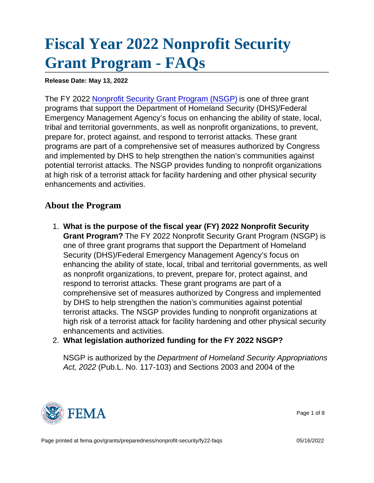## [Fiscal Year 2022 Nonprofit Security](https://edit.fema.gov/grants/preparedness/nonprofit-security/fy22-faqs) [Grant Program - FAQs](https://edit.fema.gov/grants/preparedness/nonprofit-security/fy22-faqs)

Release Date: May 13, 2022

The FY 2022 [Nonprofit Security Grant Program \(NSGP\)](https://edit.fema.gov/grants/preparedness/nonprofit-security) is one of three grant programs that support the Department of Homeland Security (DHS)/Federal Emergency Management Agency's focus on enhancing the ability of state, local, tribal and territorial governments, as well as nonprofit organizations, to prevent, prepare for, protect against, and respond to terrorist attacks. These grant programs are part of a comprehensive set of measures authorized by Congress and implemented by DHS to help strengthen the nation's communities against potential terrorist attacks. The NSGP provides funding to nonprofit organizations at high risk of a terrorist attack for facility hardening and other physical security enhancements and activities.

## About the Program

- 1. What is the purpose of the fiscal year (FY) 2022 Nonprofit Security Grant Program? The FY 2022 Nonprofit Security Grant Program (NSGP) is one of three grant programs that support the Department of Homeland Security (DHS)/Federal Emergency Management Agency's focus on enhancing the ability of state, local, tribal and territorial governments, as well as nonprofit organizations, to prevent, prepare for, protect against, and respond to terrorist attacks. These grant programs are part of a comprehensive set of measures authorized by Congress and implemented by DHS to help strengthen the nation's communities against potential terrorist attacks. The NSGP provides funding to nonprofit organizations at high risk of a terrorist attack for facility hardening and other physical security enhancements and activities.
- 2. What legislation authorized funding for the FY 2022 NSGP?

NSGP is authorized by the Department of Homeland Security Appropriations Act, 2022 (Pub.L. No. 117-103) and Sections 2003 and 2004 of the



Page 1 of 8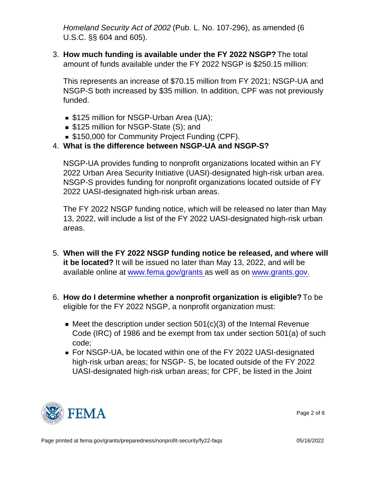Homeland Security Act of 2002 (Pub. L. No. 107-296), as amended (6 U.S.C. §§ 604 and 605).

3. How much funding is available under the FY 2022 NSGP? The total amount of funds available under the FY 2022 NSGP is \$250.15 million:

This represents an increase of \$70.15 million from FY 2021; NSGP-UA and NSGP-S both increased by \$35 million. In addition, CPF was not previously funded.

- **S125 million for NSGP-Urban Area (UA);**
- \$125 million for NSGP-State (S); and
- **S150,000 for Community Project Funding (CPF).**
- 4. What is the difference between NSGP-UA and NSGP-S?

NSGP-UA provides funding to nonprofit organizations located within an FY 2022 Urban Area Security Initiative (UASI)-designated high-risk urban area. NSGP-S provides funding for nonprofit organizations located outside of FY 2022 UASI-designated high-risk urban areas.

The FY 2022 NSGP funding notice, which will be released no later than May 13, 2022, will include a list of the FY 2022 UASI-designated high-risk urban areas.

- 5. When will the FY 2022 NSGP funding notice be released, and where will it be located? It will be issued no later than May 13, 2022, and will be available online at [www.fema.gov/grants](http://www.fema.gov/grants) as well as on [www.grants.gov.](http://www.grants.gov/)
- 6. How do I determine whether a nonprofit organization is eligible? To be eligible for the FY 2022 NSGP, a nonprofit organization must:
	- $\blacksquare$  Meet the description under section 501(c)(3) of the Internal Revenue Code (IRC) of 1986 and be exempt from tax under section 501(a) of such code;
	- For NSGP-UA, be located within one of the FY 2022 UASI-designated high-risk urban areas; for NSGP- S, be located outside of the FY 2022 UASI-designated high-risk urban areas; for CPF, be listed in the Joint



Page 2 of 8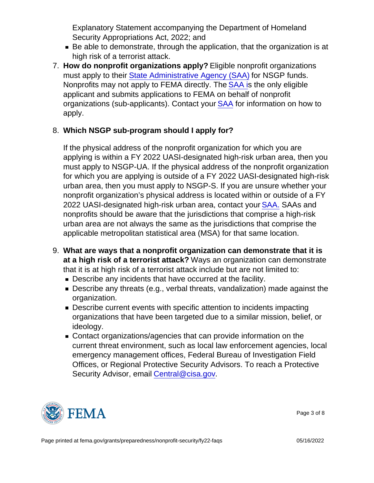Explanatory Statement accompanying the Department of Homeland Security Appropriations Act, 2022; and

- Be able to demonstrate, through the application, that the organization is at high risk of a terrorist attack.
- 7. How do nonprofit organizations apply? Eligible nonprofit organizations must apply to their [State Administrative Agency \(SAA\)](http://www.fema.gov/media-library/assets/documents/28689?id=6363) for NSGP funds. Nonprofits may not apply to FEMA directly. The [SAA i](http://www.fema.gov/media-library/assets/documents/28689?id=6363)s the only eligible applicant and submits applications to FEMA on behalf of nonprofit organizations (sub-applicants). Contact your [SAA](http://www.fema.gov/media-library/assets/documents/28689?id=6363) for information on how to apply.
- 8. Which NSGP sub-program should I apply for?

If the physical address of the nonprofit organization for which you are applying is within a FY 2022 UASI-designated high-risk urban area, then you must apply to NSGP-UA. If the physical address of the nonprofit organization for which you are applying is outside of a FY 2022 UASI-designated high-risk urban area, then you must apply to NSGP-S. If you are unsure whether your nonprofit organization's physical address is located within or outside of a FY 2022 UASI-designated high-risk urban area, contact your **SAA.** SAAs and nonprofits should be aware that the jurisdictions that comprise a high-risk urban area are not always the same as the jurisdictions that comprise the applicable metropolitan statistical area (MSA) for that same location.

- 9. What are ways that a nonprofit organization can demonstrate that it is at a high risk of a terrorist attack? Ways an organization can demonstrate that it is at high risk of a terrorist attack include but are not limited to:
	- **Describe any incidents that have occurred at the facility.**
	- Describe any threats (e.g., verbal threats, vandalization) made against the organization.
	- **Describe current events with specific attention to incidents impacting** organizations that have been targeted due to a similar mission, belief, or ideology.
	- Contact organizations/agencies that can provide information on the current threat environment, such as local law enforcement agencies, local emergency management offices, Federal Bureau of Investigation Field Offices, or Regional Protective Security Advisors. To reach a Protective Security Advisor, email [Central@cisa.gov.](mailto:Central@cisa.gov)



Page 3 of 8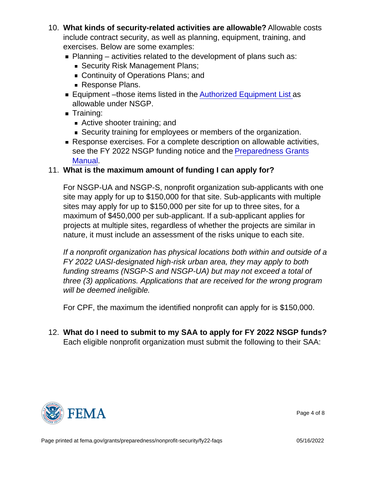- 10. What kinds of security-related activities are allowable? Allowable costs include contract security, as well as planning, equipment, training, and exercises. Below are some examples:
	- $\blacksquare$  Planning activities related to the development of plans such as:
		- Security Risk Management Plans;
		- Continuity of Operations Plans; and
		- Response Plans.
	- Equipment –those items listed in the [Authorized Equipment List](https://www.fema.gov/authorized-equipment-list) as allowable under NSGP.
	- **Training:** 
		- Active shooter training; and
		- Security training for employees or members of the organization.
	- Response exercises. For a complete description on allowable activities, see the FY 2022 NSGP funding notice and the [Preparedness Grants](https://www.fema.gov/grants/preparedness/manual) [Manual](https://www.fema.gov/grants/preparedness/manual).
- 11. What is the maximum amount of funding I can apply for?

For NSGP-UA and NSGP-S, nonprofit organization sub-applicants with one site may apply for up to \$150,000 for that site. Sub-applicants with multiple sites may apply for up to \$150,000 per site for up to three sites, for a maximum of \$450,000 per sub-applicant. If a sub-applicant applies for projects at multiple sites, regardless of whether the projects are similar in nature, it must include an assessment of the risks unique to each site.

If a nonprofit organization has physical locations both within and outside of a FY 2022 UASI-designated high-risk urban area, they may apply to both funding streams (NSGP-S and NSGP-UA) but may not exceed a total of three (3) applications. Applications that are received for the wrong program will be deemed ineligible.

For CPF, the maximum the identified nonprofit can apply for is \$150,000.

12. What do I need to submit to my SAA to apply for FY 2022 NSGP funds? Each eligible nonprofit organization must submit the following to their SAA:



Page 4 of 8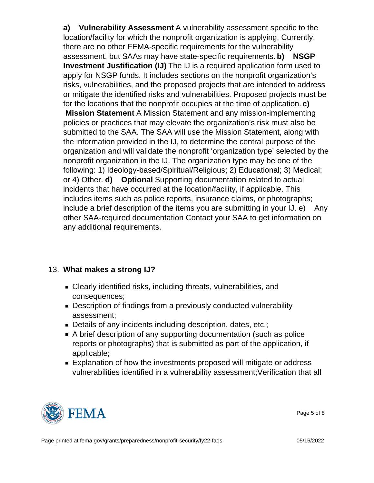a) Vulnerability Assessment A vulnerability assessment specific to the location/facility for which the nonprofit organization is applying. Currently, there are no other FEMA-specific requirements for the vulnerability assessment, but SAAs may have state-specific requirements. b) NSGP Investment Justification (IJ) The IJ is a required application form used to apply for NSGP funds. It includes sections on the nonprofit organization's risks, vulnerabilities, and the proposed projects that are intended to address or mitigate the identified risks and vulnerabilities. Proposed projects must be for the locations that the nonprofit occupies at the time of application. c) Mission Statement A Mission Statement and any mission-implementing policies or practices that may elevate the organization's risk must also be submitted to the SAA. The SAA will use the Mission Statement, along with the information provided in the IJ, to determine the central purpose of the organization and will validate the nonprofit 'organization type' selected by the nonprofit organization in the IJ. The organization type may be one of the following: 1) Ideology-based/Spiritual/Religious; 2) Educational; 3) Medical; or 4) Other. d) Optional Supporting documentation related to actual incidents that have occurred at the location/facility, if applicable. This includes items such as police reports, insurance claims, or photographs; include a brief description of the items you are submitting in your IJ. e) Any other SAA-required documentation Contact your SAA to get information on any additional requirements.

- 13. What makes a strong IJ?
	- Clearly identified risks, including threats, vulnerabilities, and consequences;
	- Description of findings from a previously conducted vulnerability assessment;
	- Details of any incidents including description, dates, etc.;
	- A brief description of any supporting documentation (such as police reports or photographs) that is submitted as part of the application, if applicable;
	- **Explanation of how the investments proposed will mitigate or address** vulnerabilities identified in a vulnerability assessment;Verification that all



Page 5 of 8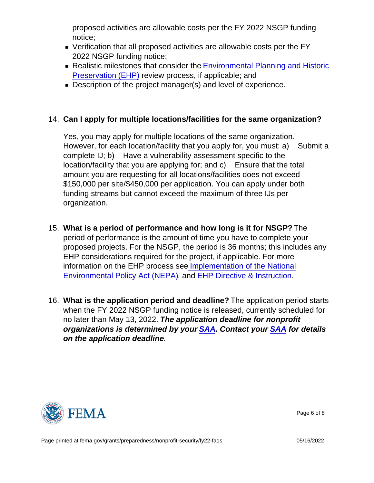proposed activities are allowable costs per the FY 2022 NSGP funding notice;

- Verification that all proposed activities are allowable costs per the FY 2022 NSGP funding notice;
- Realistic milestones that consider the [Environmental Planning and Historic](https://www.fema.gov/media-library/assets/documents/90195) [Preservation \(EHP\)](https://www.fema.gov/media-library/assets/documents/90195) review process, if applicable; and
- Description of the project manager(s) and level of experience.
- 14. Can I apply for multiple locations/facilities for the same organization?

Yes, you may apply for multiple locations of the same organization. However, for each location/facility that you apply for, you must: a) Submit a complete IJ; b) Have a vulnerability assessment specific to the location/facility that you are applying for; and c) Ensure that the total amount you are requesting for all locations/facilities does not exceed \$150,000 per site/\$450,000 per application. You can apply under both funding streams but cannot exceed the maximum of three IJs per organization.

- 15. What is a period of performance and how long is it for NSGP? The period of performance is the amount of time you have to complete your proposed projects. For the NSGP, the period is 36 months; this includes any EHP considerations required for the project, if applicable. For more information on the EHP process se[e Implementation of the National](https://www.dhs.gov/sites/default/files/publications/DHS_Instruction Manual 023-01-001-01 Rev 01_508compliantversion.pdf) [Environmental Policy Act \(NEPA\)](https://www.dhs.gov/sites/default/files/publications/DHS_Instruction Manual 023-01-001-01 Rev 01_508compliantversion.pdf), and [EHP Directive & Instruction.](https://www.fema.gov/media-collection/ehp-directive-instruction-fema-directive-108-1-instruction-108-1-1)
- 16. What is the application period and deadline? The application period starts when the FY 2022 NSGP funding notice is released, currently scheduled for no later than May 13, 2022. The application deadline for nonprofit organizations is determined by your [SAA.](http://www.fema.gov/media-library/assets/documents/28689?id=6363) Contact your [SAA](http://www.fema.gov/media-library/assets/documents/28689?id=6363) for details on the application deadline .



Page 6 of 8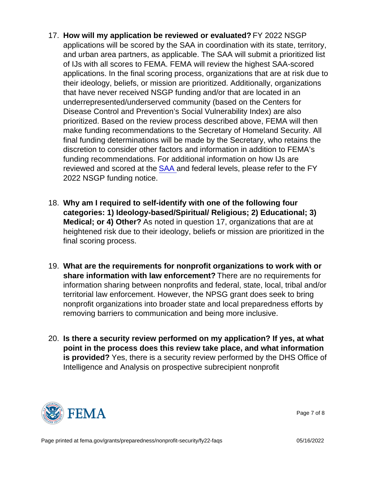- 17. How will my application be reviewed or evaluated? FY 2022 NSGP applications will be scored by the SAA in coordination with its state, territory, and urban area partners, as applicable. The SAA will submit a prioritized list of IJs with all scores to FEMA. FEMA will review the highest SAA-scored applications. In the final scoring process, organizations that are at risk due to their ideology, beliefs, or mission are prioritized. Additionally, organizations that have never received NSGP funding and/or that are located in an underrepresented/underserved community (based on the Centers for Disease Control and Prevention's Social Vulnerability Index) are also prioritized. Based on the review process described above, FEMA will then make funding recommendations to the Secretary of Homeland Security. All final funding determinations will be made by the Secretary, who retains the discretion to consider other factors and information in addition to FEMA's funding recommendations. For additional information on how IJs are reviewed and scored at the [SAA](https://edit.fema.gov/media-library/assets/documents/28689?id=6363) and federal levels, please refer to the FY 2022 NSGP funding notice.
- 18. Why am I required to self-identify with one of the following four categories: 1) Ideology-based/Spiritual/ Religious; 2) Educational; 3) Medical; or 4) Other? As noted in question 17, organizations that are at heightened risk due to their ideology, beliefs or mission are prioritized in the final scoring process.
- 19. What are the requirements for nonprofit organizations to work with or share information with law enforcement? There are no requirements for information sharing between nonprofits and federal, state, local, tribal and/or territorial law enforcement. However, the NPSG grant does seek to bring nonprofit organizations into broader state and local preparedness efforts by removing barriers to communication and being more inclusive.
- 20. Is there a security review performed on my application? If yes, at what point in the process does this review take place, and what information is provided? Yes, there is a security review performed by the DHS Office of Intelligence and Analysis on prospective subrecipient nonprofit



Page 7 of 8